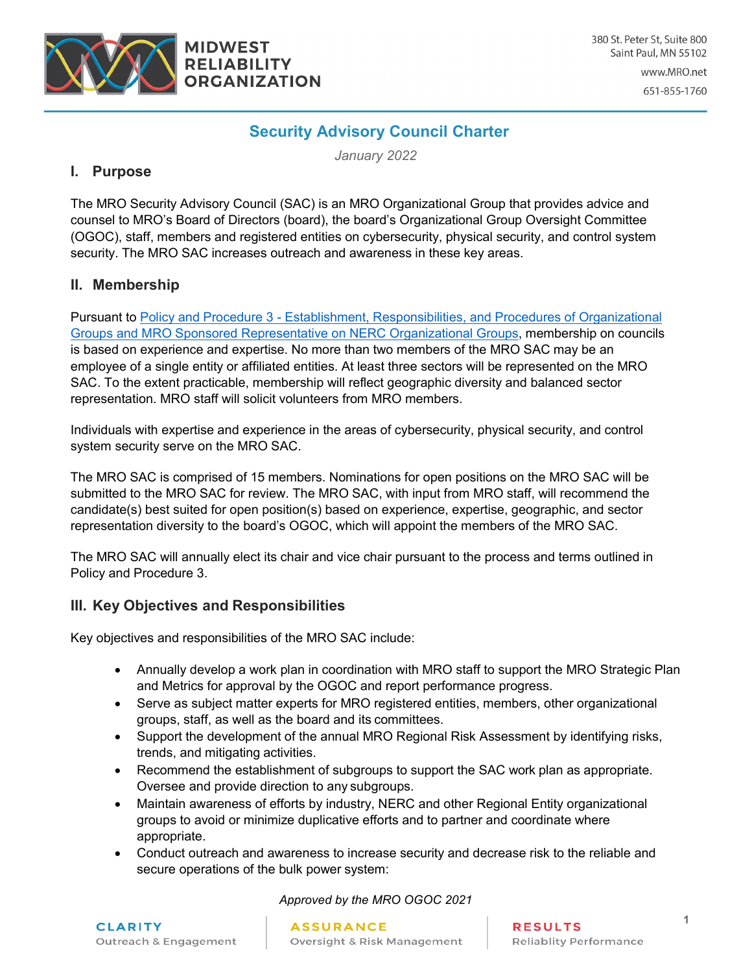

www.MRO.net

651-855-1760

# **Security Advisory Council Charter**

*January 2022*

### **I. Purpose**

The MRO Security Advisory Council (SAC) is an MRO Organizational Group that provides advice and counsel to MRO's Board of Directors (board), the board's Organizational Group Oversight Committee (OGOC), staff, members and registered entities on cybersecurity, physical security, and control system security. The MRO SAC increases outreach and awareness in these key areas.

#### **II. Membership**

Pursuant to Policy and Procedure 3 - [Establishment, Responsibilities, and Procedures of Organizational](https://www.mro.net/MRODocuments/PP3%20Organizational%20Groups.pdf) [Groups and MRO Sponsored Representative on NERC Organizational Groups,](https://www.mro.net/MRODocuments/PP3%20Organizational%20Groups.pdf) membership on councils is based on experience and expertise. No more than two members of the MRO SAC may be an employee of a single entity or affiliated entities. At least three sectors will be represented on the MRO SAC. To the extent practicable, membership will reflect geographic diversity and balanced sector representation. MRO staff will solicit volunteers from MRO members.

Individuals with expertise and experience in the areas of cybersecurity, physical security, and control system security serve on the MRO SAC.

The MRO SAC is comprised of 15 members. Nominations for open positions on the MRO SAC will be submitted to the MRO SAC for review. The MRO SAC, with input from MRO staff, will recommend the candidate(s) best suited for open position(s) based on experience, expertise, geographic, and sector representation diversity to the board's OGOC, which will appoint the members of the MRO SAC.

The MRO SAC will annually elect its chair and vice chair pursuant to the process and terms outlined in Policy and Procedure 3.

#### **III. Key Objectives and Responsibilities**

Key objectives and responsibilities of the MRO SAC include:

- Annually develop a work plan in coordination with MRO staff to support the MRO Strategic Plan and Metrics for approval by the OGOC and report performance progress.
- Serve as subject matter experts for MRO registered entities, members, other organizational groups, staff, as well as the board and its committees.
- Support the development of the annual MRO Regional Risk Assessment by identifying risks, trends, and mitigating activities.
- Recommend the establishment of subgroups to support the SAC work plan as appropriate. Oversee and provide direction to any subgroups.
- Maintain awareness of efforts by industry, NERC and other Regional Entity organizational groups to avoid or minimize duplicative efforts and to partner and coordinate where appropriate.
- Conduct outreach and awareness to increase security and decrease risk to the reliable and secure operations of the bulk power system:

*Approved by the MRO OGOC 2021*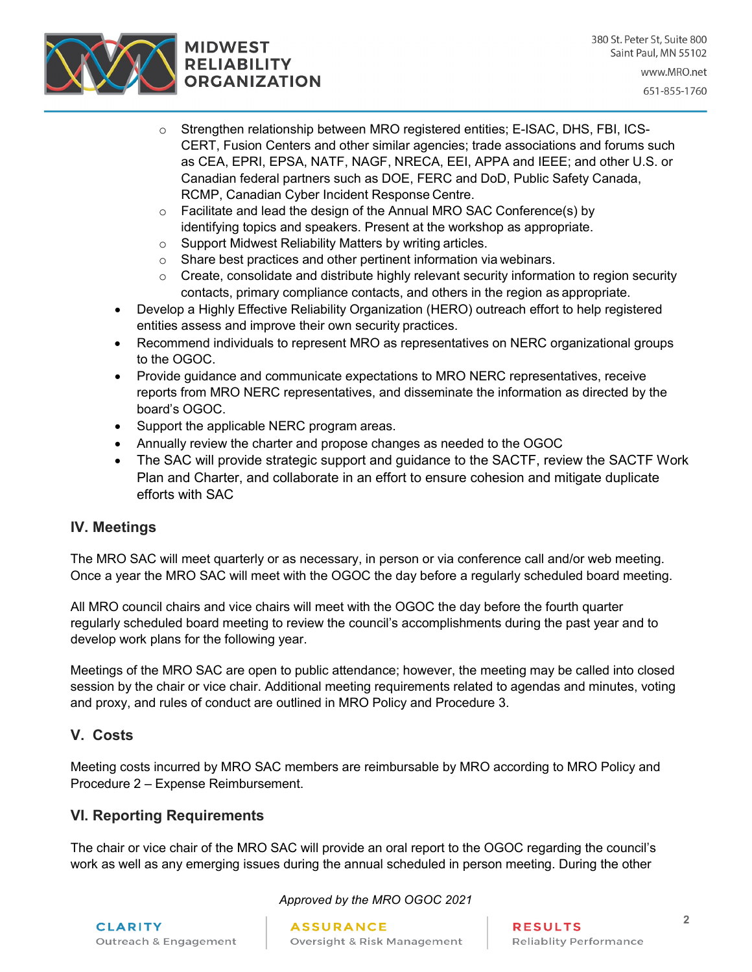

- o Strengthen relationship between MRO registered entities; E-ISAC, DHS, FBI, ICS-CERT, Fusion Centers and other similar agencies; trade associations and forums such as CEA, EPRI, EPSA, NATF, NAGF, NRECA, EEI, APPA and IEEE; and other U.S. or Canadian federal partners such as DOE, FERC and DoD, Public Safety Canada, RCMP, Canadian Cyber Incident Response Centre.
- $\circ$  Facilitate and lead the design of the Annual MRO SAC Conference(s) by identifying topics and speakers. Present at the workshop as appropriate.
- o Support Midwest Reliability Matters by writing articles.
- o Share best practices and other pertinent information via webinars.
- o Create, consolidate and distribute highly relevant security information to region security contacts, primary compliance contacts, and others in the region as appropriate.
- Develop a Highly Effective Reliability Organization (HERO) outreach effort to help registered entities assess and improve their own security practices.
- Recommend individuals to represent MRO as representatives on NERC organizational groups to the OGOC.
- Provide guidance and communicate expectations to MRO NERC representatives, receive reports from MRO NERC representatives, and disseminate the information as directed by the board's OGOC.
- Support the applicable NERC program areas.
- Annually review the charter and propose changes as needed to the OGOC
- The SAC will provide strategic support and quidance to the SACTF, review the SACTF Work Plan and Charter, and collaborate in an effort to ensure cohesion and mitigate duplicate efforts with SAC

#### **IV. Meetings**

The MRO SAC will meet quarterly or as necessary, in person or via conference call and/or web meeting. Once a year the MRO SAC will meet with the OGOC the day before a regularly scheduled board meeting.

All MRO council chairs and vice chairs will meet with the OGOC the day before the fourth quarter regularly scheduled board meeting to review the council's accomplishments during the past year and to develop work plans for the following year.

Meetings of the MRO SAC are open to public attendance; however, the meeting may be called into closed session by the chair or vice chair. Additional meeting requirements related to agendas and minutes, voting and proxy, and rules of conduct are outlined in MRO Policy and Procedure 3.

## **V. Costs**

Meeting costs incurred by MRO SAC members are reimbursable by MRO according to MRO Policy and Procedure 2 – Expense Reimbursement.

## **VI. Reporting Requirements**

The chair or vice chair of the MRO SAC will provide an oral report to the OGOC regarding the council's work as well as any emerging issues during the annual scheduled in person meeting. During the other

#### *Approved by the MRO OGOC 2021*